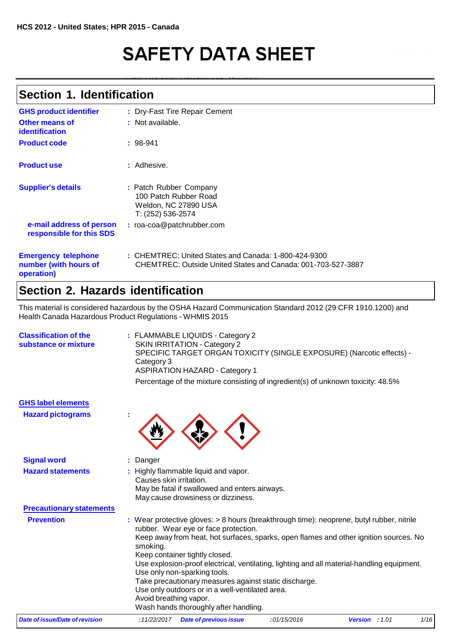# **SAFETY DATA SHEET**

### **Section 1. Identification**

| <b>GHS product identifier</b><br>Other means of                   | : Dry-Fast Tire Repair Cement<br>$:$ Not available.                                                                    |
|-------------------------------------------------------------------|------------------------------------------------------------------------------------------------------------------------|
| identification                                                    |                                                                                                                        |
| <b>Product code</b>                                               | $: 98-941$                                                                                                             |
| <b>Product use</b>                                                | : Adhesive.                                                                                                            |
| <b>Supplier's details</b>                                         | : Patch Rubber Company<br>100 Patch Rubber Road<br>Weldon, NC 27890 USA<br>T: (252) 536-2574                           |
| e-mail address of person<br>responsible for this SDS              | : roa-coa@patchrubber.com                                                                                              |
| <b>Emergency telephone</b><br>number (with hours of<br>operation) | $:$ CHEMTREC: United States and Canada: 1-800-424-9300<br>CHEMTREC: Outside United States and Canada: 001-703-527-3887 |

### **Section 2. Hazards identification**

This material is considered hazardous by the OSHA Hazard Communication Standard 2012 (29 CFR 1910.1200) and Health Canada Hazardous Product Regulations - WHMIS 2015

| <b>Classification of the</b><br>substance or mixture | : FLAMMABLE LIQUIDS - Category 2<br><b>SKIN IRRITATION - Category 2</b><br>SPECIFIC TARGET ORGAN TOXICITY (SINGLE EXPOSURE) (Narcotic effects) -<br>Category 3<br><b>ASPIRATION HAZARD - Category 1</b><br>Percentage of the mixture consisting of ingredient(s) of unknown toxicity: 48.5%                                                                                                                                                                                                                                                                                          |
|------------------------------------------------------|--------------------------------------------------------------------------------------------------------------------------------------------------------------------------------------------------------------------------------------------------------------------------------------------------------------------------------------------------------------------------------------------------------------------------------------------------------------------------------------------------------------------------------------------------------------------------------------|
| <b>GHS label elements</b>                            |                                                                                                                                                                                                                                                                                                                                                                                                                                                                                                                                                                                      |
| <b>Hazard pictograms</b>                             |                                                                                                                                                                                                                                                                                                                                                                                                                                                                                                                                                                                      |
| <b>Signal word</b>                                   | Danger                                                                                                                                                                                                                                                                                                                                                                                                                                                                                                                                                                               |
| <b>Hazard statements</b>                             | : Highly flammable liquid and vapor.<br>Causes skin irritation.<br>May be fatal if swallowed and enters airways.<br>May cause drowsiness or dizziness.                                                                                                                                                                                                                                                                                                                                                                                                                               |
| <b>Precautionary statements</b>                      |                                                                                                                                                                                                                                                                                                                                                                                                                                                                                                                                                                                      |
| <b>Prevention</b>                                    | : Wear protective gloves: > 8 hours (breakthrough time): neoprene, butyl rubber, nitrile<br>rubber. Wear eye or face protection.<br>Keep away from heat, hot surfaces, sparks, open flames and other ignition sources. No<br>smoking.<br>Keep container tightly closed.<br>Use explosion-proof electrical, ventilating, lighting and all material-handling equipment.<br>Use only non-sparking tools.<br>Take precautionary measures against static discharge.<br>Use only outdoors or in a well-ventilated area.<br>Avoid breathing vapor.<br>Wash hands thoroughly after handling. |

|  | Date of issue/Date of revision |  | : 11/22/2017 Date of previous issue | :01/15/2016 | <b>Version</b> : 1.01 | 1/16 |
|--|--------------------------------|--|-------------------------------------|-------------|-----------------------|------|
|--|--------------------------------|--|-------------------------------------|-------------|-----------------------|------|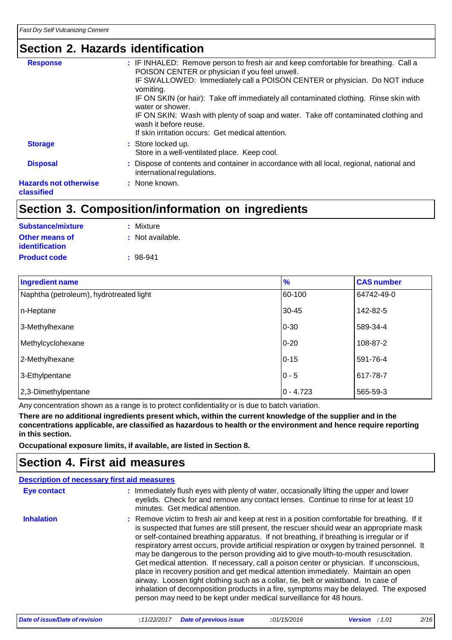### **Section 2. Hazards identification**

| <b>Response</b>                            | : IF INHALED: Remove person to fresh air and keep comfortable for breathing. Call a<br>POISON CENTER or physician if you feel unwell.<br>IF SWALLOWED: Immediately call a POISON CENTER or physician. Do NOT induce<br>vomiting.<br>IF ON SKIN (or hair): Take off immediately all contaminated clothing. Rinse skin with<br>water or shower.<br>IF ON SKIN: Wash with plenty of soap and water. Take off contaminated clothing and<br>wash it before reuse.<br>If skin irritation occurs: Get medical attention. |
|--------------------------------------------|-------------------------------------------------------------------------------------------------------------------------------------------------------------------------------------------------------------------------------------------------------------------------------------------------------------------------------------------------------------------------------------------------------------------------------------------------------------------------------------------------------------------|
| <b>Storage</b>                             | : Store locked up.<br>Store in a well-ventilated place. Keep cool.                                                                                                                                                                                                                                                                                                                                                                                                                                                |
| <b>Disposal</b>                            | : Dispose of contents and container in accordance with all local, regional, national and<br>international regulations.                                                                                                                                                                                                                                                                                                                                                                                            |
| <b>Hazards not otherwise</b><br>classified | : None known.                                                                                                                                                                                                                                                                                                                                                                                                                                                                                                     |

## **Section 3. Composition/information on ingredients**

| Substance/mixture     | : Mixture        |
|-----------------------|------------------|
| Other means of        | : Not available. |
| <i>identification</i> |                  |
| <b>Product code</b>   | $: 98-941$       |

| <b>Ingredient name</b>                  | $\frac{9}{6}$ | <b>CAS number</b> |
|-----------------------------------------|---------------|-------------------|
| Naphtha (petroleum), hydrotreated light | 60-100        | 64742-49-0        |
| n-Heptane                               | $30 - 45$     | 142-82-5          |
| 3-Methylhexane                          | $0 - 30$      | 589-34-4          |
| Methylcyclohexane                       | $0 - 20$      | 108-87-2          |
| 2-Methylhexane                          | $0 - 15$      | 591-76-4          |
| 3-Ethylpentane                          | $0 - 5$       | 617-78-7          |
| 2,3-Dimethylpentane                     | $0 - 4.723$   | 565-59-3          |

Any concentration shown as a range is to protect confidentiality or is due to batch variation.

There are no additional ingredients present which, within the current knowledge of the supplier and in the **concentrations applicable, are classified as hazardous to health or the environment and hence require reporting in this section.**

**Occupational exposure limits, if available, are listed in Section 8.**

### **Section 4. First aid measures**

|                   | <b>Description of necessary first aid measures</b>                                                                                                                                                                                                                                                                                                                                                                                                                                                                                                                                                                                                                                                                                                                                                                                                                                                             |
|-------------------|----------------------------------------------------------------------------------------------------------------------------------------------------------------------------------------------------------------------------------------------------------------------------------------------------------------------------------------------------------------------------------------------------------------------------------------------------------------------------------------------------------------------------------------------------------------------------------------------------------------------------------------------------------------------------------------------------------------------------------------------------------------------------------------------------------------------------------------------------------------------------------------------------------------|
| Eye contact       | : Immediately flush eyes with plenty of water, occasionally lifting the upper and lower<br>eyelids. Check for and remove any contact lenses. Continue to rinse for at least 10<br>minutes. Get medical attention.                                                                                                                                                                                                                                                                                                                                                                                                                                                                                                                                                                                                                                                                                              |
| <b>Inhalation</b> | : Remove victim to fresh air and keep at rest in a position comfortable for breathing. If it<br>is suspected that fumes are still present, the rescuer should wear an appropriate mask<br>or self-contained breathing apparatus. If not breathing, if breathing is irregular or if<br>respiratory arrest occurs, provide artificial respiration or oxygen by trained personnel. It<br>may be dangerous to the person providing aid to give mouth-to-mouth resuscitation.<br>Get medical attention. If necessary, call a poison center or physician. If unconscious,<br>place in recovery position and get medical attention immediately. Maintain an open<br>airway. Loosen tight clothing such as a collar, tie, belt or waistband. In case of<br>inhalation of decomposition products in a fire, symptoms may be delayed. The exposed<br>person may need to be kept under medical surveillance for 48 hours. |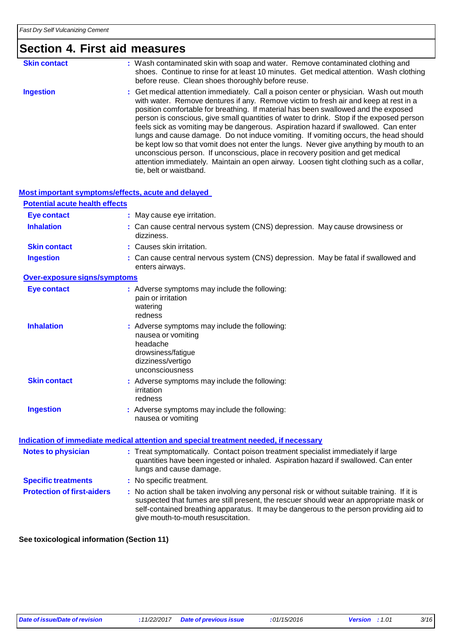# **Section 4. First aid measures**

| <b>Skin contact</b> | : Wash contaminated skin with soap and water. Remove contaminated clothing and<br>shoes. Continue to rinse for at least 10 minutes. Get medical attention. Wash clothing<br>before reuse. Clean shoes thoroughly before reuse.                                                                                                                                                                                                                                                                                                                                                                                                                                                                                                                                                                                                                  |
|---------------------|-------------------------------------------------------------------------------------------------------------------------------------------------------------------------------------------------------------------------------------------------------------------------------------------------------------------------------------------------------------------------------------------------------------------------------------------------------------------------------------------------------------------------------------------------------------------------------------------------------------------------------------------------------------------------------------------------------------------------------------------------------------------------------------------------------------------------------------------------|
| <b>Ingestion</b>    | : Get medical attention immediately. Call a poison center or physician. Wash out mouth<br>with water. Remove dentures if any. Remove victim to fresh air and keep at rest in a<br>position comfortable for breathing. If material has been swallowed and the exposed<br>person is conscious, give small quantities of water to drink. Stop if the exposed person<br>feels sick as vomiting may be dangerous. Aspiration hazard if swallowed. Can enter<br>lungs and cause damage. Do not induce vomiting. If vomiting occurs, the head should<br>be kept low so that vomit does not enter the lungs. Never give anything by mouth to an<br>unconscious person. If unconscious, place in recovery position and get medical<br>attention immediately. Maintain an open airway. Loosen tight clothing such as a collar,<br>tie, belt or waistband. |

#### **Most important symptoms/effects, acute and delayed**

| <b>Potential acute health effects</b> |                                                                                                                                                                                                                                                                                                                         |
|---------------------------------------|-------------------------------------------------------------------------------------------------------------------------------------------------------------------------------------------------------------------------------------------------------------------------------------------------------------------------|
| <b>Eye contact</b>                    | : May cause eye irritation.                                                                                                                                                                                                                                                                                             |
| <b>Inhalation</b>                     | : Can cause central nervous system (CNS) depression. May cause drowsiness or<br>dizziness.                                                                                                                                                                                                                              |
| <b>Skin contact</b>                   | : Causes skin irritation.                                                                                                                                                                                                                                                                                               |
| <b>Ingestion</b>                      | : Can cause central nervous system (CNS) depression. May be fatal if swallowed and<br>enters airways.                                                                                                                                                                                                                   |
| Over-exposure signs/symptoms          |                                                                                                                                                                                                                                                                                                                         |
| <b>Eye contact</b>                    | : Adverse symptoms may include the following:<br>pain or irritation<br>watering<br>redness                                                                                                                                                                                                                              |
| <b>Inhalation</b>                     | : Adverse symptoms may include the following:<br>nausea or vomiting<br>headache<br>drowsiness/fatigue<br>dizziness/vertigo<br>unconsciousness                                                                                                                                                                           |
| <b>Skin contact</b>                   | : Adverse symptoms may include the following:<br>irritation<br>redness                                                                                                                                                                                                                                                  |
| <b>Ingestion</b>                      | : Adverse symptoms may include the following:<br>nausea or vomiting                                                                                                                                                                                                                                                     |
|                                       | Indication of immediate medical attention and special treatment needed, if necessary                                                                                                                                                                                                                                    |
| <b>Notes to physician</b>             | : Treat symptomatically. Contact poison treatment specialist immediately if large<br>quantities have been ingested or inhaled. Aspiration hazard if swallowed. Can enter<br>lungs and cause damage.                                                                                                                     |
| <b>Specific treatments</b>            | : No specific treatment.                                                                                                                                                                                                                                                                                                |
| <b>Protection of first-aiders</b>     | : No action shall be taken involving any personal risk or without suitable training. If it is<br>suspected that fumes are still present, the rescuer should wear an appropriate mask or<br>self-contained breathing apparatus. It may be dangerous to the person providing aid to<br>give mouth-to-mouth resuscitation. |

#### **See toxicological information (Section 11)**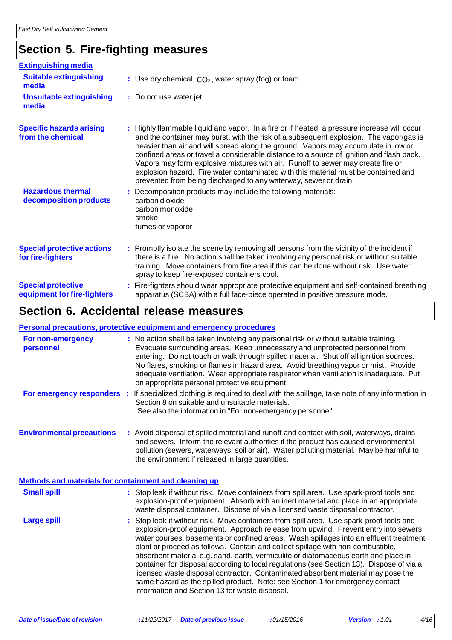## **Section 5. Fire-fighting measures**

| <b>Extinguishing media</b>                               |                                                                                                                                                                                                                                                                                                                                                                                                                                                                                                                                                                                                                      |
|----------------------------------------------------------|----------------------------------------------------------------------------------------------------------------------------------------------------------------------------------------------------------------------------------------------------------------------------------------------------------------------------------------------------------------------------------------------------------------------------------------------------------------------------------------------------------------------------------------------------------------------------------------------------------------------|
| <b>Suitable extinguishing</b><br>media                   | : Use dry chemical, $CO2$ , water spray (fog) or foam.                                                                                                                                                                                                                                                                                                                                                                                                                                                                                                                                                               |
| <b>Unsuitable extinguishing</b><br>media                 | : Do not use water jet.                                                                                                                                                                                                                                                                                                                                                                                                                                                                                                                                                                                              |
| <b>Specific hazards arising</b><br>from the chemical     | : Highly flammable liquid and vapor. In a fire or if heated, a pressure increase will occur<br>and the container may burst, with the risk of a subsequent explosion. The vapor/gas is<br>heavier than air and will spread along the ground. Vapors may accumulate in low or<br>confined areas or travel a considerable distance to a source of ignition and flash back.<br>Vapors may form explosive mixtures with air. Runoff to sewer may create fire or<br>explosion hazard. Fire water contaminated with this material must be contained and<br>prevented from being discharged to any waterway, sewer or drain. |
| <b>Hazardous thermal</b><br>decomposition products       | : Decomposition products may include the following materials:<br>carbon dioxide<br>carbon monoxide<br>smoke<br>fumes or vaporor                                                                                                                                                                                                                                                                                                                                                                                                                                                                                      |
| <b>Special protective actions</b><br>for fire-fighters   | : Promptly isolate the scene by removing all persons from the vicinity of the incident if<br>there is a fire. No action shall be taken involving any personal risk or without suitable<br>training. Move containers from fire area if this can be done without risk. Use water<br>spray to keep fire-exposed containers cool.                                                                                                                                                                                                                                                                                        |
| <b>Special protective</b><br>equipment for fire-fighters | : Fire-fighters should wear appropriate protective equipment and self-contained breathing<br>apparatus (SCBA) with a full face-piece operated in positive pressure mode.                                                                                                                                                                                                                                                                                                                                                                                                                                             |

### **Section 6. Accidental release measures**

#### **Personal precautions, protective equipment and emergency procedures For non-emergency :** No action shall be taken involving any personal risk or without suitable training.

| personnel                                             | Evacuate surrounding areas. Keep unnecessary and unprotected personnel from<br>entering. Do not touch or walk through spilled material. Shut off all ignition sources.<br>No flares, smoking or flames in hazard area. Avoid breathing vapor or mist. Provide<br>adequate ventilation. Wear appropriate respirator when ventilation is inadequate. Put<br>on appropriate personal protective equipment.                                                                                                                                                                                                                                                                                                                                                              |
|-------------------------------------------------------|----------------------------------------------------------------------------------------------------------------------------------------------------------------------------------------------------------------------------------------------------------------------------------------------------------------------------------------------------------------------------------------------------------------------------------------------------------------------------------------------------------------------------------------------------------------------------------------------------------------------------------------------------------------------------------------------------------------------------------------------------------------------|
| For emergency responders :                            | If specialized clothing is required to deal with the spillage, take note of any information in<br>Section 8 on suitable and unsuitable materials.<br>See also the information in "For non-emergency personnel".                                                                                                                                                                                                                                                                                                                                                                                                                                                                                                                                                      |
| <b>Environmental precautions</b>                      | : Avoid dispersal of spilled material and runoff and contact with soil, waterways, drains<br>and sewers. Inform the relevant authorities if the product has caused environmental<br>pollution (sewers, waterways, soil or air). Water polluting material. May be harmful to<br>the environment if released in large quantities.                                                                                                                                                                                                                                                                                                                                                                                                                                      |
| Methods and materials for containment and cleaning up |                                                                                                                                                                                                                                                                                                                                                                                                                                                                                                                                                                                                                                                                                                                                                                      |
| <b>Small spill</b>                                    | : Stop leak if without risk. Move containers from spill area. Use spark-proof tools and<br>explosion-proof equipment. Absorb with an inert material and place in an appropriate<br>waste disposal container. Dispose of via a licensed waste disposal contractor.                                                                                                                                                                                                                                                                                                                                                                                                                                                                                                    |
| <b>Large spill</b>                                    | : Stop leak if without risk. Move containers from spill area. Use spark-proof tools and<br>explosion-proof equipment. Approach release from upwind. Prevent entry into sewers,<br>water courses, basements or confined areas. Wash spillages into an effluent treatment<br>plant or proceed as follows. Contain and collect spillage with non-combustible,<br>absorbent material e.g. sand, earth, vermiculite or diatomaceous earth and place in<br>container for disposal according to local regulations (see Section 13). Dispose of via a<br>licensed waste disposal contractor. Contaminated absorbent material may pose the<br>same hazard as the spilled product. Note: see Section 1 for emergency contact<br>information and Section 13 for waste disposal. |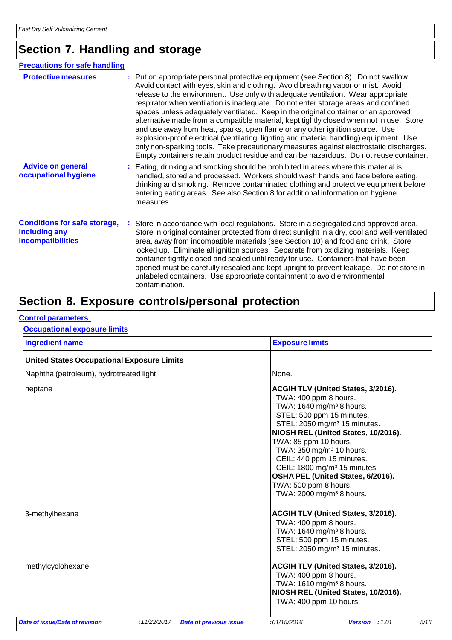### **Section 7. Handling and storage**

| <b>Precautions for safe handling</b>                                      |                                                                                                                                                                                                                                                                                                                                                                                                                                                                                                                                                                                                                                                                                                                                                                                                                                                                                                  |  |  |  |
|---------------------------------------------------------------------------|--------------------------------------------------------------------------------------------------------------------------------------------------------------------------------------------------------------------------------------------------------------------------------------------------------------------------------------------------------------------------------------------------------------------------------------------------------------------------------------------------------------------------------------------------------------------------------------------------------------------------------------------------------------------------------------------------------------------------------------------------------------------------------------------------------------------------------------------------------------------------------------------------|--|--|--|
| <b>Protective measures</b>                                                | : Put on appropriate personal protective equipment (see Section 8). Do not swallow.<br>Avoid contact with eyes, skin and clothing. Avoid breathing vapor or mist. Avoid<br>release to the environment. Use only with adequate ventilation. Wear appropriate<br>respirator when ventilation is inadequate. Do not enter storage areas and confined<br>spaces unless adequately ventilated. Keep in the original container or an approved<br>alternative made from a compatible material, kept tightly closed when not in use. Store<br>and use away from heat, sparks, open flame or any other ignition source. Use<br>explosion-proof electrical (ventilating, lighting and material handling) equipment. Use<br>only non-sparking tools. Take precautionary measures against electrostatic discharges.<br>Empty containers retain product residue and can be hazardous. Do not reuse container. |  |  |  |
| <b>Advice on general</b><br>occupational hygiene                          | : Eating, drinking and smoking should be prohibited in areas where this material is<br>handled, stored and processed. Workers should wash hands and face before eating,<br>drinking and smoking. Remove contaminated clothing and protective equipment before<br>entering eating areas. See also Section 8 for additional information on hygiene<br>measures.                                                                                                                                                                                                                                                                                                                                                                                                                                                                                                                                    |  |  |  |
| <b>Conditions for safe storage,</b><br>including any<br>incompatibilities | Store in accordance with local regulations. Store in a segregated and approved area.<br>Store in original container protected from direct sunlight in a dry, cool and well-ventilated<br>area, away from incompatible materials (see Section 10) and food and drink. Store<br>locked up. Eliminate all ignition sources. Separate from oxidizing materials. Keep<br>container tightly closed and sealed until ready for use. Containers that have been<br>opened must be carefully resealed and kept upright to prevent leakage. Do not store in<br>unlabeled containers. Use appropriate containment to avoid environmental<br>contamination.                                                                                                                                                                                                                                                   |  |  |  |

### **Section 8. Exposure controls/personal protection**

#### **Control parameters**

#### **Occupational exposure limits**

| <b>Ingredient name</b>                            |                               | <b>Exposure limits</b>                                                                                                                                                                                                                                                                                                                                                                                                                                                     |
|---------------------------------------------------|-------------------------------|----------------------------------------------------------------------------------------------------------------------------------------------------------------------------------------------------------------------------------------------------------------------------------------------------------------------------------------------------------------------------------------------------------------------------------------------------------------------------|
| <b>United States Occupational Exposure Limits</b> |                               |                                                                                                                                                                                                                                                                                                                                                                                                                                                                            |
| Naphtha (petroleum), hydrotreated light           |                               | None.                                                                                                                                                                                                                                                                                                                                                                                                                                                                      |
| heptane                                           |                               | <b>ACGIH TLV (United States, 3/2016).</b><br>TWA: 400 ppm 8 hours.<br>TWA: 1640 mg/m <sup>3</sup> 8 hours.<br>STEL: 500 ppm 15 minutes.<br>STEL: 2050 mg/m <sup>3</sup> 15 minutes.<br>NIOSH REL (United States, 10/2016).<br>TWA: 85 ppm 10 hours.<br>TWA: 350 mg/m <sup>3</sup> 10 hours.<br>CEIL: 440 ppm 15 minutes.<br>CEIL: 1800 mg/m <sup>3</sup> 15 minutes.<br>OSHA PEL (United States, 6/2016).<br>TWA: 500 ppm 8 hours.<br>TWA: 2000 mg/m <sup>3</sup> 8 hours. |
| 3-methylhexane                                    |                               | <b>ACGIH TLV (United States, 3/2016).</b><br>TWA: 400 ppm 8 hours.<br>TWA: 1640 mg/m <sup>3</sup> 8 hours.<br>STEL: 500 ppm 15 minutes.<br>STEL: 2050 mg/m <sup>3</sup> 15 minutes.                                                                                                                                                                                                                                                                                        |
| methylcyclohexane                                 |                               | <b>ACGIH TLV (United States, 3/2016).</b><br>TWA: 400 ppm 8 hours.<br>TWA: 1610 mg/m <sup>3</sup> 8 hours.<br>NIOSH REL (United States, 10/2016).<br>TWA: 400 ppm 10 hours.                                                                                                                                                                                                                                                                                                |
| Date of issue/Date of revision<br>:11/22/2017     | <b>Date of previous issue</b> | 5/16<br>:01/15/2016<br>Version : 1.01                                                                                                                                                                                                                                                                                                                                                                                                                                      |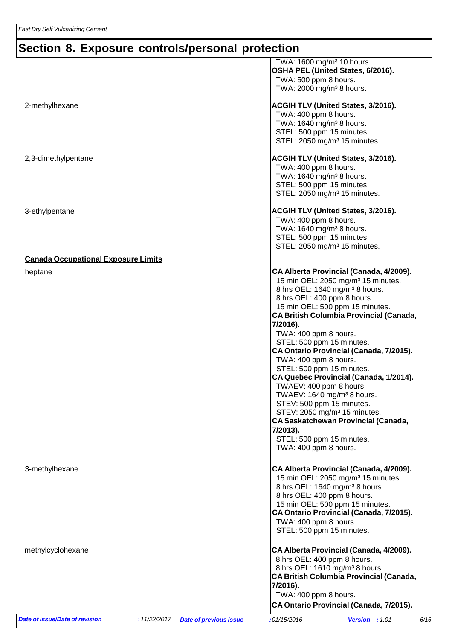# **Section 8. Exposure controls/personal protection**

| <b>Date of issue/Date of revision</b>      | :11/22/2017 | <b>Date of previous issue</b> | :01/15/2016                                                                                                                                                                                                                                                                   | Version : 1.01                                                                                                                                                                                                                                                                                                                                                                                                                                        | 6/16 |
|--------------------------------------------|-------------|-------------------------------|-------------------------------------------------------------------------------------------------------------------------------------------------------------------------------------------------------------------------------------------------------------------------------|-------------------------------------------------------------------------------------------------------------------------------------------------------------------------------------------------------------------------------------------------------------------------------------------------------------------------------------------------------------------------------------------------------------------------------------------------------|------|
| methylcyclohexane                          |             |                               | 8 hrs OEL: 400 ppm 8 hours.<br>7/2016).<br>TWA: 400 ppm 8 hours.                                                                                                                                                                                                              | CA Alberta Provincial (Canada, 4/2009).<br>8 hrs OEL: 1610 mg/m <sup>3</sup> 8 hours.<br><b>CA British Columbia Provincial (Canada,</b><br>CA Ontario Provincial (Canada, 7/2015).                                                                                                                                                                                                                                                                    |      |
| 3-methylhexane                             |             |                               | 8 hrs OEL: 400 ppm 8 hours.<br>TWA: 400 ppm 8 hours.<br>STEL: 500 ppm 15 minutes.                                                                                                                                                                                             | CA Alberta Provincial (Canada, 4/2009).<br>15 min OEL: 2050 mg/m <sup>3</sup> 15 minutes.<br>8 hrs OEL: 1640 mg/m <sup>3</sup> 8 hours.<br>15 min OEL: 500 ppm 15 minutes.<br>CA Ontario Provincial (Canada, 7/2015).                                                                                                                                                                                                                                 |      |
| heptane                                    |             |                               | 8 hrs OEL: 400 ppm 8 hours.<br>7/2016).<br>TWA: 400 ppm 8 hours.<br>STEL: 500 ppm 15 minutes.<br>TWA: 400 ppm 8 hours.<br>STEL: 500 ppm 15 minutes.<br>TWAEV: 400 ppm 8 hours.<br>STEV: 500 ppm 15 minutes.<br>7/2013).<br>STEL: 500 ppm 15 minutes.<br>TWA: 400 ppm 8 hours. | CA Alberta Provincial (Canada, 4/2009).<br>15 min OEL: 2050 mg/m <sup>3</sup> 15 minutes.<br>8 hrs OEL: 1640 mg/m <sup>3</sup> 8 hours.<br>15 min OEL: 500 ppm 15 minutes.<br><b>CA British Columbia Provincial (Canada,</b><br>CA Ontario Provincial (Canada, 7/2015).<br>CA Quebec Provincial (Canada, 1/2014).<br>TWAEV: 1640 mg/m <sup>3</sup> 8 hours.<br>STEV: 2050 mg/m <sup>3</sup> 15 minutes.<br><b>CA Saskatchewan Provincial (Canada,</b> |      |
| <b>Canada Occupational Exposure Limits</b> |             |                               |                                                                                                                                                                                                                                                                               | STEL: 2050 mg/m <sup>3</sup> 15 minutes.                                                                                                                                                                                                                                                                                                                                                                                                              |      |
| 3-ethylpentane                             |             |                               | TWA: 400 ppm 8 hours.<br>TWA: 1640 mg/m <sup>3</sup> 8 hours.<br>STEL: 500 ppm 15 minutes.                                                                                                                                                                                    | ACGIH TLV (United States, 3/2016).                                                                                                                                                                                                                                                                                                                                                                                                                    |      |
| 2,3-dimethylpentane                        |             |                               | TWA: 400 ppm 8 hours.<br>TWA: 1640 mg/m <sup>3</sup> 8 hours.<br>STEL: 500 ppm 15 minutes.                                                                                                                                                                                    | ACGIH TLV (United States, 3/2016).<br>STEL: 2050 mg/m <sup>3</sup> 15 minutes.                                                                                                                                                                                                                                                                                                                                                                        |      |
| 2-methylhexane                             |             |                               | TWA: 400 ppm 8 hours.<br>TWA: 1640 mg/m <sup>3</sup> 8 hours.<br>STEL: 500 ppm 15 minutes.                                                                                                                                                                                    | ACGIH TLV (United States, 3/2016).<br>STEL: 2050 mg/m <sup>3</sup> 15 minutes.                                                                                                                                                                                                                                                                                                                                                                        |      |
|                                            |             |                               | TWA: $1600 \text{ mg/m}^3$ 10 hours.<br>TWA: 500 ppm 8 hours.<br>TWA: 2000 mg/m <sup>3</sup> 8 hours.                                                                                                                                                                         | OSHA PEL (United States, 6/2016).                                                                                                                                                                                                                                                                                                                                                                                                                     |      |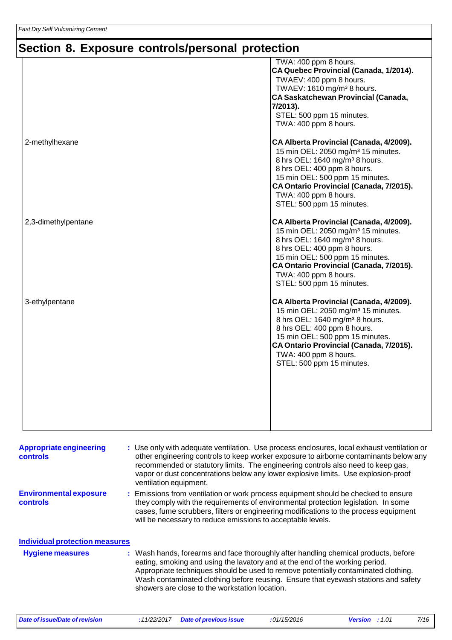# **Section 8. Exposure controls/personal protection**

|                     | TWA: 400 ppm 8 hours.<br>CA Quebec Provincial (Canada, 1/2014).<br>TWAEV: 400 ppm 8 hours.<br>TWAEV: 1610 mg/m <sup>3</sup> 8 hours.<br>CA Saskatchewan Provincial (Canada,<br>7/2013).<br>STEL: 500 ppm 15 minutes.<br>TWA: 400 ppm 8 hours.                                                              |
|---------------------|------------------------------------------------------------------------------------------------------------------------------------------------------------------------------------------------------------------------------------------------------------------------------------------------------------|
| 2-methylhexane      | CA Alberta Provincial (Canada, 4/2009).<br>15 min OEL: 2050 mg/m <sup>3</sup> 15 minutes.<br>8 hrs OEL: 1640 mg/m <sup>3</sup> 8 hours.<br>8 hrs OEL: 400 ppm 8 hours.<br>15 min OEL: 500 ppm 15 minutes.<br>CA Ontario Provincial (Canada, 7/2015).<br>TWA: 400 ppm 8 hours.<br>STEL: 500 ppm 15 minutes. |
| 2,3-dimethylpentane | CA Alberta Provincial (Canada, 4/2009).<br>15 min OEL: 2050 mg/m <sup>3</sup> 15 minutes.<br>8 hrs OEL: 1640 mg/m <sup>3</sup> 8 hours.<br>8 hrs OEL: 400 ppm 8 hours.<br>15 min OEL: 500 ppm 15 minutes.<br>CA Ontario Provincial (Canada, 7/2015).<br>TWA: 400 ppm 8 hours.<br>STEL: 500 ppm 15 minutes. |
| 3-ethylpentane      | CA Alberta Provincial (Canada, 4/2009).<br>15 min OEL: 2050 mg/m <sup>3</sup> 15 minutes.<br>8 hrs OEL: 1640 mg/m <sup>3</sup> 8 hours.<br>8 hrs OEL: 400 ppm 8 hours.<br>15 min OEL: 500 ppm 15 minutes.<br>CA Ontario Provincial (Canada, 7/2015).<br>TWA: 400 ppm 8 hours.<br>STEL: 500 ppm 15 minutes. |

| <b>Appropriate engineering</b><br><b>controls</b>                                         | : Use only with adequate ventilation. Use process enclosures, local exhaust ventilation or<br>other engineering controls to keep worker exposure to airborne contaminants below any<br>recommended or statutory limits. The engineering controls also need to keep gas,<br>vapor or dust concentrations below any lower explosive limits. Use explosion-proof<br>ventilation equipment.           |
|-------------------------------------------------------------------------------------------|---------------------------------------------------------------------------------------------------------------------------------------------------------------------------------------------------------------------------------------------------------------------------------------------------------------------------------------------------------------------------------------------------|
| <b>Environmental exposure</b><br><b>controls</b><br><b>Individual protection measures</b> | : Emissions from ventilation or work process equipment should be checked to ensure<br>they comply with the requirements of environmental protection legislation. In some<br>cases, fume scrubbers, filters or engineering modifications to the process equipment<br>will be necessary to reduce emissions to acceptable levels.                                                                   |
| <b>Hygiene measures</b>                                                                   | : Wash hands, forearms and face thoroughly after handling chemical products, before<br>eating, smoking and using the lavatory and at the end of the working period.<br>Appropriate techniques should be used to remove potentially contaminated clothing.<br>Wash contaminated clothing before reusing. Ensure that eyewash stations and safety<br>showers are close to the workstation location. |

*Date of issue/Date of revision* **:***11/22/2017 Date of previous issue :01/15/2016 Version : 1.01 7/16*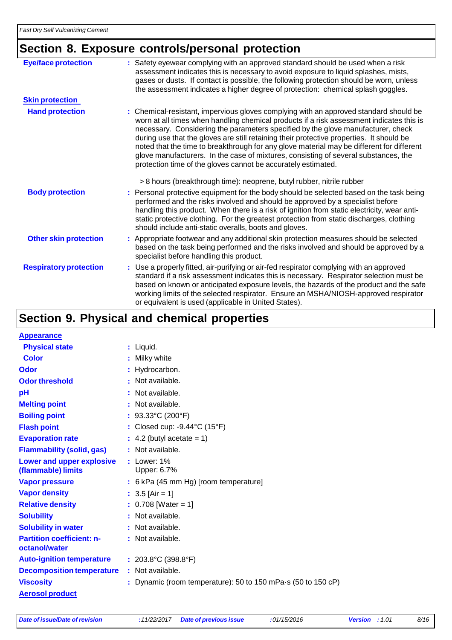# **Section 8. Exposure controls/personal protection**

| <b>Eye/face protection</b>    | : Safety eyewear complying with an approved standard should be used when a risk<br>assessment indicates this is necessary to avoid exposure to liquid splashes, mists,<br>gases or dusts. If contact is possible, the following protection should be worn, unless<br>the assessment indicates a higher degree of protection: chemical splash goggles.                                                                                                                                                                                                                                                                  |
|-------------------------------|------------------------------------------------------------------------------------------------------------------------------------------------------------------------------------------------------------------------------------------------------------------------------------------------------------------------------------------------------------------------------------------------------------------------------------------------------------------------------------------------------------------------------------------------------------------------------------------------------------------------|
| <b>Skin protection</b>        |                                                                                                                                                                                                                                                                                                                                                                                                                                                                                                                                                                                                                        |
| <b>Hand protection</b>        | : Chemical-resistant, impervious gloves complying with an approved standard should be<br>worn at all times when handling chemical products if a risk assessment indicates this is<br>necessary. Considering the parameters specified by the glove manufacturer, check<br>during use that the gloves are still retaining their protective properties. It should be<br>noted that the time to breakthrough for any glove material may be different for different<br>glove manufacturers. In the case of mixtures, consisting of several substances, the<br>protection time of the gloves cannot be accurately estimated. |
|                               | > 8 hours (breakthrough time): neoprene, butyl rubber, nitrile rubber                                                                                                                                                                                                                                                                                                                                                                                                                                                                                                                                                  |
| <b>Body protection</b>        | : Personal protective equipment for the body should be selected based on the task being<br>performed and the risks involved and should be approved by a specialist before<br>handling this product. When there is a risk of ignition from static electricity, wear anti-<br>static protective clothing. For the greatest protection from static discharges, clothing<br>should include anti-static overalls, boots and gloves.                                                                                                                                                                                         |
| <b>Other skin protection</b>  | : Appropriate footwear and any additional skin protection measures should be selected<br>based on the task being performed and the risks involved and should be approved by a<br>specialist before handling this product.                                                                                                                                                                                                                                                                                                                                                                                              |
| <b>Respiratory protection</b> | : Use a properly fitted, air-purifying or air-fed respirator complying with an approved<br>standard if a risk assessment indicates this is necessary. Respirator selection must be<br>based on known or anticipated exposure levels, the hazards of the product and the safe<br>working limits of the selected respirator. Ensure an MSHA/NIOSH-approved respirator<br>or equivalent is used (applicable in United States).                                                                                                                                                                                            |

## **Section 9. Physical and chemical properties**

| <b>Appearance</b>                                 |                                                                      |
|---------------------------------------------------|----------------------------------------------------------------------|
| <b>Physical state</b>                             | : Liquid.                                                            |
| <b>Color</b>                                      | : Milky white                                                        |
| Odor                                              | : Hydrocarbon.                                                       |
| <b>Odor threshold</b>                             | : Not available.                                                     |
| pH                                                | Not available.                                                       |
| <b>Melting point</b>                              | : Not available.                                                     |
| <b>Boiling point</b>                              | : $93.33^{\circ}$ C (200°F)                                          |
| <b>Flash point</b>                                | : Closed cup: $-9.44^{\circ}$ C (15°F)                               |
| <b>Evaporation rate</b>                           | $\therefore$ 4.2 (butyl acetate = 1)                                 |
| <b>Flammability (solid, gas)</b>                  | : Not available.                                                     |
| <b>Lower and upper explosive</b>                  | $:$ Lower: $1\%$                                                     |
| (flammable) limits                                | Upper: 6.7%                                                          |
| <b>Vapor pressure</b>                             | : 6 kPa (45 mm Hg) [room temperature]                                |
| <b>Vapor density</b>                              | $: 3.5$ [Air = 1]                                                    |
| <b>Relative density</b>                           | : $0.708$ [Water = 1]                                                |
| <b>Solubility</b>                                 | : Not available.                                                     |
| <b>Solubility in water</b>                        | : Not available.                                                     |
| <b>Partition coefficient: n-</b><br>octanol/water | : Not available.                                                     |
| <b>Auto-ignition temperature</b>                  | : $203.8^{\circ}$ C (398.8 $^{\circ}$ F)                             |
| <b>Decomposition temperature</b>                  | : Not available.                                                     |
| <b>Viscosity</b>                                  | : Dynamic (room temperature): 50 to 150 mPa $\cdot$ s (50 to 150 cP) |
| <b>Aerosol product</b>                            |                                                                      |
|                                                   |                                                                      |

*Date of issue/Date of revision* **:***11/22/2017 Date of previous issue :01/15/2016 Version : 1.01 8/16*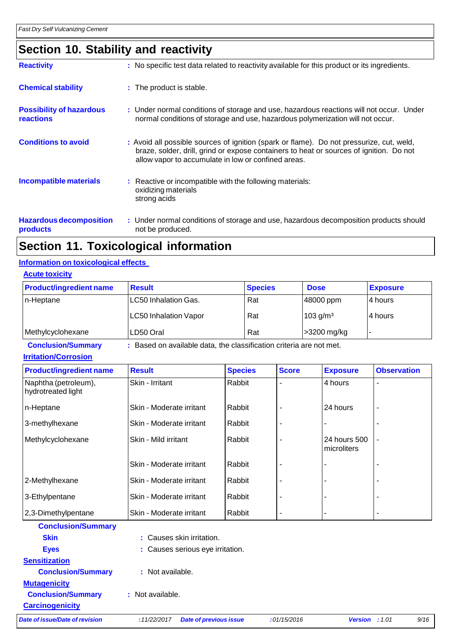## **Section 10. Stability and reactivity**

| <b>Reactivity</b>                            | : No specific test data related to reactivity available for this product or its ingredients.                                                                                                                                               |
|----------------------------------------------|--------------------------------------------------------------------------------------------------------------------------------------------------------------------------------------------------------------------------------------------|
| <b>Chemical stability</b>                    | : The product is stable.                                                                                                                                                                                                                   |
| <b>Possibility of hazardous</b><br>reactions | : Under normal conditions of storage and use, hazardous reactions will not occur. Under<br>normal conditions of storage and use, hazardous polymerization will not occur.                                                                  |
| <b>Conditions to avoid</b>                   | : Avoid all possible sources of ignition (spark or flame). Do not pressurize, cut, weld,<br>braze, solder, drill, grind or expose containers to heat or sources of ignition. Do not<br>allow vapor to accumulate in low or confined areas. |
| <b>Incompatible materials</b>                | : Reactive or incompatible with the following materials:<br>oxidizing materials<br>strong acids                                                                                                                                            |
| <b>Hazardous decomposition</b><br>products   | : Under normal conditions of storage and use, hazardous decomposition products should<br>not be produced.                                                                                                                                  |

### **Section 11. Toxicological information**

#### **Information on toxicological effects**

|--|

| <b>Product/ingredient name</b> | <b>Result</b>                | <b>Species</b> | <b>Dose</b>          | <b>Exposure</b> |
|--------------------------------|------------------------------|----------------|----------------------|-----------------|
| In-Heptane                     | LC50 Inhalation Gas.         | Rat            | 48000 ppm            | 14 hours        |
|                                | <b>LC50 Inhalation Vapor</b> | Rat            | 103 g/m <sup>3</sup> | 14 hours        |
| Methylcyclohexane              | LD50 Oral                    | Rat            | >3200 mg/kg          |                 |

### **Conclusion/Summary :** Based on available data, the classification criteria are not met.

| <b>Irritation/Corrosion</b> |  |
|-----------------------------|--|
|                             |  |

| <b>Product/ingredient name</b>             | <b>Result</b>            | <b>Species</b> | <b>Score</b> | <b>Exposure</b>             | <b>Observation</b> |
|--------------------------------------------|--------------------------|----------------|--------------|-----------------------------|--------------------|
| Naphtha (petroleum),<br>hydrotreated light | Skin - Irritant          | Rabbit         |              | 4 hours                     |                    |
| n-Heptane                                  | Skin - Moderate irritant | Rabbit         |              | 24 hours                    |                    |
| 3-methylhexane                             | Skin - Moderate irritant | Rabbit         |              |                             |                    |
| Methylcyclohexane                          | Skin - Mild irritant     | Rabbit         |              | 24 hours 500<br>microliters | ٠                  |
|                                            | Skin - Moderate irritant | Rabbit         |              |                             |                    |
| 2-Methylhexane                             | Skin - Moderate irritant | Rabbit         |              |                             |                    |
| 3-Ethylpentane                             | Skin - Moderate irritant | Rabbit         |              |                             |                    |
| 2,3-Dimethylpentane                        | Skin - Moderate irritant | Rabbit         |              |                             |                    |

| <b>Conclusion/Summary</b>      |                  |                                  |             |                         |      |
|--------------------------------|------------------|----------------------------------|-------------|-------------------------|------|
| <b>Skin</b>                    |                  | : Causes skin irritation.        |             |                         |      |
| <b>Eyes</b>                    |                  | : Causes serious eye irritation. |             |                         |      |
| <b>Sensitization</b>           |                  |                                  |             |                         |      |
| <b>Conclusion/Summary</b>      | : Not available. |                                  |             |                         |      |
| <b>Mutagenicity</b>            |                  |                                  |             |                         |      |
| <b>Conclusion/Summary</b>      | : Not available. |                                  |             |                         |      |
| <b>Carcinogenicity</b>         |                  |                                  |             |                         |      |
| Date of issue/Date of revision | :11/22/2017      | <b>Date of previous issue</b>    | :01/15/2016 | <b>Version</b> : $1.01$ | 9/16 |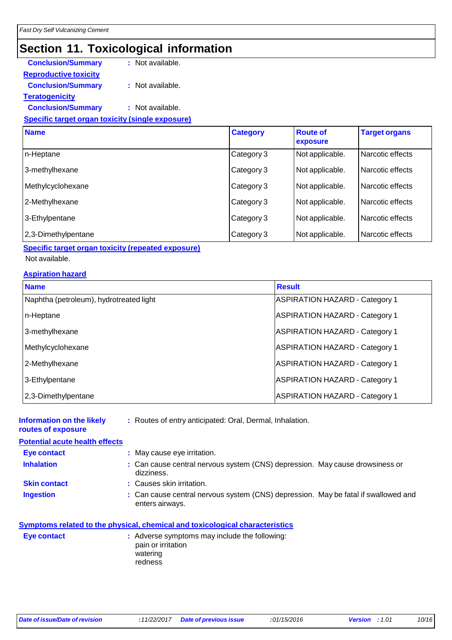## **Section 11. Toxicological information**

| <b>Conclusion/Summary</b>    | : Not available. |
|------------------------------|------------------|
| <b>Reproductive toxicity</b> |                  |
| <b>Conclusion/Summary</b>    | : Not available. |
| <b>Teratogenicity</b>        |                  |
| <b>Conclusion/Summary</b>    | : Not available. |
|                              |                  |

#### **Specific target organ toxicity (single exposure)**

| <b>Name</b>         | <b>Category</b> | <b>Route of</b><br>exposure | <b>Target organs</b> |
|---------------------|-----------------|-----------------------------|----------------------|
| n-Heptane           | Category 3      | Not applicable.             | Narcotic effects     |
| 3-methylhexane      | Category 3      | Not applicable.             | Narcotic effects     |
| Methylcyclohexane   | Category 3      | Not applicable.             | Narcotic effects     |
| 2-Methylhexane      | Category 3      | Not applicable.             | Narcotic effects     |
| 3-Ethylpentane      | Category 3      | Not applicable.             | Narcotic effects     |
| 2,3-Dimethylpentane | Category 3      | Not applicable.             | Narcotic effects     |

#### **Specific target organ toxicity (repeated exposure)**

#### Not available.

#### **Aspiration hazard**

| <b>Name</b>                             | <b>Result</b>                         |
|-----------------------------------------|---------------------------------------|
| Naphtha (petroleum), hydrotreated light | <b>ASPIRATION HAZARD - Category 1</b> |
| n-Heptane                               | <b>ASPIRATION HAZARD - Category 1</b> |
| 3-methylhexane                          | <b>ASPIRATION HAZARD - Category 1</b> |
| Methylcyclohexane                       | <b>ASPIRATION HAZARD - Category 1</b> |
| 2-Methylhexane                          | <b>ASPIRATION HAZARD - Category 1</b> |
| 3-Ethylpentane                          | <b>ASPIRATION HAZARD - Category 1</b> |
| 2,3-Dimethylpentane                     | <b>ASPIRATION HAZARD - Category 1</b> |

#### **Information on the likely routes of exposure :** Routes of entry anticipated: Oral, Dermal, Inhalation.

#### **Potential acute health effects**

| Eye contact |  | : May cause eye irritation. |
|-------------|--|-----------------------------|
|             |  |                             |

- **Inhalation :** Can cause central nervous system (CNS) depression. May cause drowsiness or dizziness.
- **Skin contact : Causes skin irritation.**
- **Ingestion :** Can cause central nervous system (CNS) depression. May be fatal if swallowed and enters airways.

|                    | Symptoms related to the physical, chemical and toxicological characteristics |  |
|--------------------|------------------------------------------------------------------------------|--|
| <b>Eve contact</b> | Adverse symptoms may include the following:                                  |  |

| Eye contact | : Adverse symptoms may include the following:<br>pain or irritation |
|-------------|---------------------------------------------------------------------|
|             | watering<br>redness                                                 |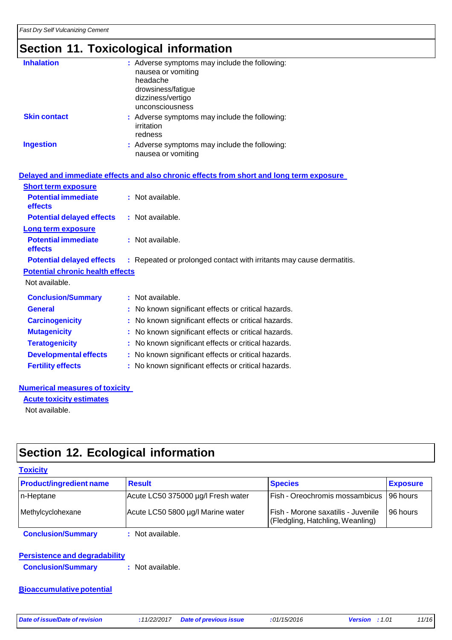## **Section 11. Toxicological information**

| <b>Inhalation</b>   | : Adverse symptoms may include the following:<br>nausea or vomiting<br>headache<br>drowsiness/fatigue<br>dizziness/vertigo<br>unconsciousness |
|---------------------|-----------------------------------------------------------------------------------------------------------------------------------------------|
| <b>Skin contact</b> | : Adverse symptoms may include the following:<br>irritation<br>redness                                                                        |
| <b>Ingestion</b>    | : Adverse symptoms may include the following:<br>nausea or vomiting                                                                           |

|                                              | Delayed and immediate effects and also chronic effects from short and long term exposure |
|----------------------------------------------|------------------------------------------------------------------------------------------|
| <b>Short term exposure</b>                   |                                                                                          |
| <b>Potential immediate</b><br><b>effects</b> | : Not available.                                                                         |
| <b>Potential delayed effects</b>             | : Not available.                                                                         |
| Long term exposure                           |                                                                                          |
| <b>Potential immediate</b><br><b>effects</b> | : Not available.                                                                         |
| <b>Potential delayed effects</b>             | : Repeated or prolonged contact with irritants may cause dermatitis.                     |
| <b>Potential chronic health effects</b>      |                                                                                          |
| Not available.                               |                                                                                          |
| <b>Conclusion/Summary</b>                    | $:$ Not available.                                                                       |
| <b>General</b>                               | No known significant effects or critical hazards.                                        |
| <b>Carcinogenicity</b>                       | : No known significant effects or critical hazards.                                      |
| <b>Mutagenicity</b>                          | No known significant effects or critical hazards.                                        |
| <b>Teratogenicity</b>                        | No known significant effects or critical hazards.                                        |
| <b>Developmental effects</b>                 | : No known significant effects or critical hazards.                                      |
| <b>Fertility effects</b>                     | : No known significant effects or critical hazards.                                      |

#### **Numerical measures of toxicity**

**Acute toxicity estimates** Not available.

### **Section 12. Ecological information**

| <b>Toxicity</b>                |                                    |                                                                        |                 |
|--------------------------------|------------------------------------|------------------------------------------------------------------------|-----------------|
| <b>Product/ingredient name</b> | <b>Result</b>                      | <b>Species</b>                                                         | <b>Exposure</b> |
| n-Heptane                      | Acute LC50 375000 µg/l Fresh water | Fish - Oreochromis mossambicus 196 hours                               |                 |
| Methylcyclohexane              | Acute LC50 5800 µg/l Marine water  | Fish - Morone saxatilis - Juvenile<br>(Fledgling, Hatchling, Weanling) | 196 hours       |
| <b>Conclusion/Summary</b>      | : Not available.                   |                                                                        |                 |

**Persistence and degradability Conclusion/Summary :** Not available.

#### **Bioaccumulative potential**

*Date of issue/Date of revision* **:***11/22/2017 Date of previous issue :01/15/2016 Version : 1.01 11/16*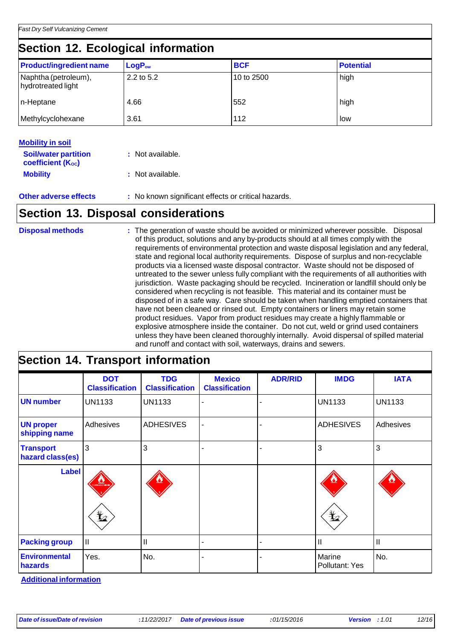## **Section 12. Ecological information**

| <b>Product/ingredient name</b>             | $LogP_{ow}$  | <b>BCF</b> | <b>Potential</b> |
|--------------------------------------------|--------------|------------|------------------|
| Naphtha (petroleum),<br>hydrotreated light | $2.2$ to 5.2 | 10 to 2500 | high             |
| n-Heptane                                  | 4.66         | 552        | high             |
| Methylcyclohexane                          | 3.61         | 112        | low              |

| <b>Mobility in soil</b>                                 |                  |  |
|---------------------------------------------------------|------------------|--|
| <b>Soil/water partition</b><br><b>coefficient (Koc)</b> | : Not available. |  |
| <b>Mobility</b>                                         | : Not available. |  |

**Other adverse effects :** No known significant effects or critical hazards.

### **Section 13. Disposal considerations**

| <b>Disposal methods</b> | : The generation of waste should be avoided or minimized wherever possible. Disposal<br>of this product, solutions and any by-products should at all times comply with the<br>requirements of environmental protection and waste disposal legislation and any federal,<br>state and regional local authority requirements. Dispose of surplus and non-recyclable<br>products via a licensed waste disposal contractor. Waste should not be disposed of<br>untreated to the sewer unless fully compliant with the requirements of all authorities with<br>jurisdiction. Waste packaging should be recycled. Incineration or landfill should only be<br>considered when recycling is not feasible. This material and its container must be<br>disposed of in a safe way. Care should be taken when handling emptied containers that<br>have not been cleaned or rinsed out. Empty containers or liners may retain some<br>product residues. Vapor from product residues may create a highly flammable or<br>explosive atmosphere inside the container. Do not cut, weld or grind used containers |
|-------------------------|------------------------------------------------------------------------------------------------------------------------------------------------------------------------------------------------------------------------------------------------------------------------------------------------------------------------------------------------------------------------------------------------------------------------------------------------------------------------------------------------------------------------------------------------------------------------------------------------------------------------------------------------------------------------------------------------------------------------------------------------------------------------------------------------------------------------------------------------------------------------------------------------------------------------------------------------------------------------------------------------------------------------------------------------------------------------------------------------|
|                         | unless they have been cleaned thoroughly internally. Avoid dispersal of spilled material<br>and runoff and contact with soil, waterways, drains and sewers.                                                                                                                                                                                                                                                                                                                                                                                                                                                                                                                                                                                                                                                                                                                                                                                                                                                                                                                                    |

# **Section 14. Transport information**

|                                      | <b>DOT</b><br><b>Classification</b> | <b>TDG</b><br><b>Classification</b> | <b>Mexico</b><br><b>Classification</b> | <b>ADR/RID</b> | <b>IMDG</b>              | <b>IATA</b>   |
|--------------------------------------|-------------------------------------|-------------------------------------|----------------------------------------|----------------|--------------------------|---------------|
| <b>UN number</b>                     | <b>UN1133</b>                       | <b>UN1133</b>                       |                                        |                | <b>UN1133</b>            | <b>UN1133</b> |
| <b>UN proper</b><br>shipping name    | Adhesives                           | <b>ADHESIVES</b>                    |                                        |                | <b>ADHESIVES</b>         | Adhesives     |
| <b>Transport</b><br>hazard class(es) | 3                                   | 3                                   |                                        |                | 3                        | 3             |
| <b>Label</b>                         |                                     |                                     |                                        |                |                          |               |
|                                      | $\bigstar$                          |                                     |                                        |                | $\bigstar$               |               |
| <b>Packing group</b>                 | II                                  | $\mathbf{I}$                        |                                        |                | $\mathbf{I}$             | $\mathbf{I}$  |
| <b>Environmental</b><br>hazards      | Yes.                                | No.                                 |                                        |                | Marine<br>Pollutant: Yes | No.           |

**Additional information**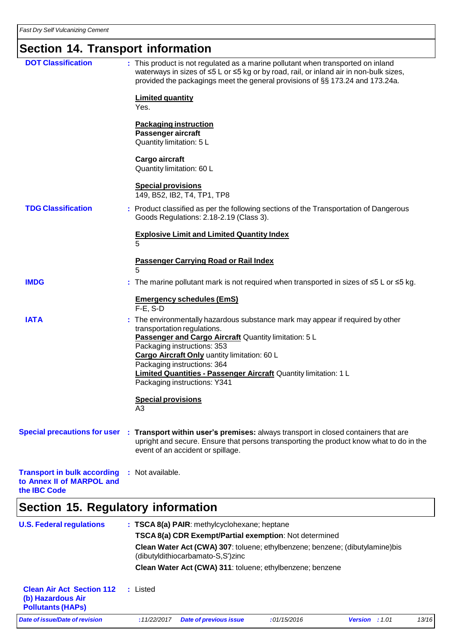# **Section 14. Transport information**

| <b>DOT Classification</b>                                                       |   | : This product is not regulated as a marine pollutant when transported on inland<br>waterways in sizes of ≤5 L or ≤5 kg or by road, rail, or inland air in non-bulk sizes,<br>provided the packagings meet the general provisions of §§ 173.24 and 173.24a. |
|---------------------------------------------------------------------------------|---|-------------------------------------------------------------------------------------------------------------------------------------------------------------------------------------------------------------------------------------------------------------|
|                                                                                 |   | <b>Limited quantity</b><br>Yes.                                                                                                                                                                                                                             |
|                                                                                 |   | <b>Packaging instruction</b><br>Passenger aircraft<br>Quantity limitation: 5 L                                                                                                                                                                              |
|                                                                                 |   | Cargo aircraft<br>Quantity limitation: 60 L                                                                                                                                                                                                                 |
|                                                                                 |   | <b>Special provisions</b><br>149, B52, IB2, T4, TP1, TP8                                                                                                                                                                                                    |
| <b>TDG Classification</b>                                                       |   | : Product classified as per the following sections of the Transportation of Dangerous<br>Goods Regulations: 2.18-2.19 (Class 3).                                                                                                                            |
|                                                                                 |   | <b>Explosive Limit and Limited Quantity Index</b><br>5                                                                                                                                                                                                      |
|                                                                                 |   | Passenger Carrying Road or Rail Index<br>5                                                                                                                                                                                                                  |
| <b>IMDG</b>                                                                     |   | : The marine pollutant mark is not required when transported in sizes of $\leq 5$ L or $\leq 5$ kg.                                                                                                                                                         |
|                                                                                 |   | <b>Emergency schedules (EmS)</b><br>$F-E$ , S-D                                                                                                                                                                                                             |
| <b>IATA</b>                                                                     |   | : The environmentally hazardous substance mark may appear if required by other<br>transportation regulations.<br>Passenger and Cargo Aircraft Quantity limitation: 5 L                                                                                      |
|                                                                                 |   | Packaging instructions: 353                                                                                                                                                                                                                                 |
|                                                                                 |   | Cargo Aircraft Only uantity limitation: 60 L<br>Packaging instructions: 364                                                                                                                                                                                 |
|                                                                                 |   | <b>Limited Quantities - Passenger Aircraft Quantity limitation: 1 L</b><br>Packaging instructions: Y341                                                                                                                                                     |
|                                                                                 |   | <b>Special provisions</b><br>A3                                                                                                                                                                                                                             |
| <b>Special precautions for user</b>                                             | ÷ | Transport within user's premises: always transport in closed containers that are<br>upright and secure. Ensure that persons transporting the product know what to do in the<br>event of an accident or spillage.                                            |
| <b>Transport in bulk according</b><br>to Annex II of MARPOL and<br>the IBC Code |   | : Not available.                                                                                                                                                                                                                                            |
|                                                                                 |   |                                                                                                                                                                                                                                                             |

# **Section 15. Regulatory information**

| <b>U.S. Federal regulations</b>                                                   |             | : TSCA 8(a) PAIR: methylcyclohexane; heptane                                                                       |             |                         |       |
|-----------------------------------------------------------------------------------|-------------|--------------------------------------------------------------------------------------------------------------------|-------------|-------------------------|-------|
|                                                                                   |             | <b>TSCA 8(a) CDR Exempt/Partial exemption:</b> Not determined                                                      |             |                         |       |
|                                                                                   |             | Clean Water Act (CWA) 307: toluene; ethylbenzene; benzene; (dibutylamine) bis<br>(dibutyldithiocarbamato-S,S')zinc |             |                         |       |
|                                                                                   |             | Clean Water Act (CWA) 311: toluene; ethylbenzene; benzene                                                          |             |                         |       |
| <b>Clean Air Act Section 112</b><br>(b) Hazardous Air<br><b>Pollutants (HAPS)</b> | : Listed    |                                                                                                                    |             |                         |       |
| Date of issue/Date of revision                                                    | :11/22/2017 | <b>Date of previous issue</b>                                                                                      | :01/15/2016 | <b>Version</b> : $1.01$ | 13/16 |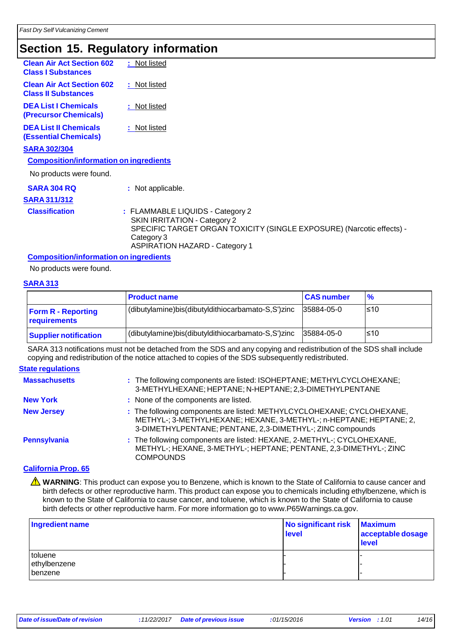### **Section 15. Regulatory information**

| <b>Clean Air Act Section 602</b><br><b>Class I Substances</b>  | : Not listed                                                                                                                                                                                            |
|----------------------------------------------------------------|---------------------------------------------------------------------------------------------------------------------------------------------------------------------------------------------------------|
| <b>Clean Air Act Section 602</b><br><b>Class II Substances</b> | : Not listed                                                                                                                                                                                            |
| <b>DEA List I Chemicals</b><br>(Precursor Chemicals)           | : Not listed                                                                                                                                                                                            |
| <b>DEA List II Chemicals</b><br><b>(Essential Chemicals)</b>   | : Not listed                                                                                                                                                                                            |
| <b>SARA 302/304</b>                                            |                                                                                                                                                                                                         |
| <b>Composition/information on ingredients</b>                  |                                                                                                                                                                                                         |
| No products were found.                                        |                                                                                                                                                                                                         |
| <b>SARA 304 RQ</b>                                             | : Not applicable.                                                                                                                                                                                       |
| <b>SARA 311/312</b>                                            |                                                                                                                                                                                                         |
| <b>Classification</b>                                          | : FLAMMABLE LIQUIDS - Category 2<br><b>SKIN IRRITATION - Category 2</b><br>SPECIFIC TARGET ORGAN TOXICITY (SINGLE EXPOSURE) (Narcotic effects) -<br>Category 3<br><b>ASPIRATION HAZARD - Category 1</b> |

#### **Composition/information on ingredients**

No products were found.

#### **SARA 313**

|                                                  | <b>Product name</b>                                | <b>CAS number</b> | $\frac{9}{6}$ |
|--------------------------------------------------|----------------------------------------------------|-------------------|---------------|
| <b>Form R - Reporting</b><br><b>requirements</b> | (dibutylamine)bis(dibutyldithiocarbamato-S,S')zinc | 35884-05-0        | l≤10          |
| <b>Supplier notification</b>                     | (dibutylamine)bis(dibutyldithiocarbamato-S,S')zinc | 35884-05-0        | l≤10          |

SARA 313 notifications must not be detached from the SDS and any copying and redistribution of the SDS shall include copying and redistribution of the notice attached to copies of the SDS subsequently redistributed.

#### **State regulations**

| <b>Massachusetts</b> | : The following components are listed: ISOHEPTANE; METHYLCYCLOHEXANE;<br>3-METHYLHEXANE; HEPTANE; N-HEPTANE; 2,3-DIMETHYLPENTANE                                                                          |
|----------------------|-----------------------------------------------------------------------------------------------------------------------------------------------------------------------------------------------------------|
| <b>New York</b>      | : None of the components are listed.                                                                                                                                                                      |
| <b>New Jersey</b>    | : The following components are listed: METHYLCYCLOHEXANE; CYCLOHEXANE,<br>METHYL-; 3-METHYLHEXANE; HEXANE, 3-METHYL-; n-HEPTANE; HEPTANE; 2,<br>3-DIMETHYLPENTANE; PENTANE, 2,3-DIMETHYL-; ZINC compounds |
| Pennsylvania         | : The following components are listed: HEXANE, 2-METHYL-; CYCLOHEXANE,<br>METHYL-; HEXANE, 3-METHYL-; HEPTANE; PENTANE, 2,3-DIMETHYL-; ZINC<br><b>COMPOUNDS</b>                                           |

#### **California Prop. 65**

**A** WARNING: This product can expose you to Benzene, which is known to the State of California to cause cancer and birth defects or other reproductive harm. This product can expose you to chemicals including ethylbenzene, which is known to the State of California to cause cancer, and toluene, which is known to the State of California to cause birth defects or other reproductive harm. For more information go to [www.P65Warnings.ca.gov.](http://www.p65warnings.ca.gov/)

| Ingredient name                           | No significant risk<br>level | <b>Maximum</b><br>acceptable dosage<br>level |
|-------------------------------------------|------------------------------|----------------------------------------------|
| toluene<br>ethylbenzene<br><b>benzene</b> |                              |                                              |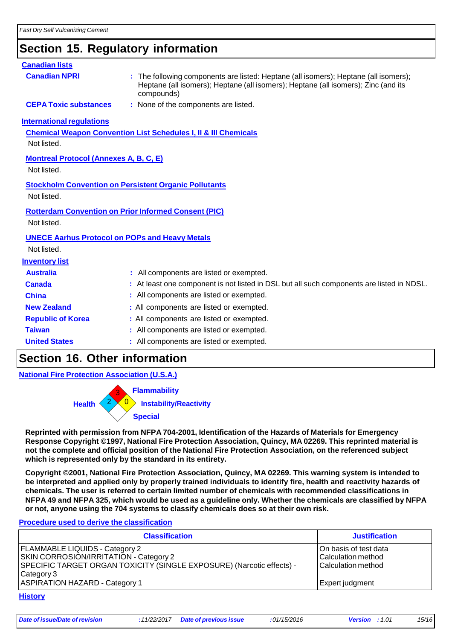### **Section 15. Regulatory information**

| <b>Canadian lists</b>                                                |                                                                                                                                                                                          |
|----------------------------------------------------------------------|------------------------------------------------------------------------------------------------------------------------------------------------------------------------------------------|
| <b>Canadian NPRI</b>                                                 | : The following components are listed: Heptane (all isomers); Heptane (all isomers);<br>Heptane (all isomers); Heptane (all isomers); Heptane (all isomers); Zinc (and its<br>compounds) |
| <b>CEPA Toxic substances</b>                                         | : None of the components are listed.                                                                                                                                                     |
| <b>International regulations</b>                                     |                                                                                                                                                                                          |
| Not listed.                                                          | <b>Chemical Weapon Convention List Schedules I, II &amp; III Chemicals</b>                                                                                                               |
| <b>Montreal Protocol (Annexes A, B, C, E)</b><br>Not listed.         |                                                                                                                                                                                          |
| Not listed.                                                          | <b>Stockholm Convention on Persistent Organic Pollutants</b>                                                                                                                             |
| Not listed.                                                          | <b>Rotterdam Convention on Prior Informed Consent (PIC)</b>                                                                                                                              |
| <b>UNECE Aarhus Protocol on POPs and Heavy Metals</b><br>Not listed. |                                                                                                                                                                                          |
| <b>Inventory list</b>                                                |                                                                                                                                                                                          |
| <b>Australia</b>                                                     | : All components are listed or exempted.                                                                                                                                                 |
| Canada                                                               | : At least one component is not listed in DSL but all such components are listed in NDSL.                                                                                                |
| <b>China</b>                                                         | : All components are listed or exempted.                                                                                                                                                 |
| <b>New Zealand</b>                                                   | : All components are listed or exempted.                                                                                                                                                 |
| <b>Republic of Korea</b>                                             | : All components are listed or exempted.                                                                                                                                                 |
| <b>Taiwan</b>                                                        | : All components are listed or exempted.                                                                                                                                                 |
| <b>United States</b>                                                 | : All components are listed or exempted.                                                                                                                                                 |

### **Section 16. Other information**

**National Fire Protection Association (U.S.A.)**

**Health** 3 **Flammability Instability/Reactivity Special**

**Reprinted with permission from NFPA 704-2001, Identification of the Hazards of Materials for Emergency Response Copyright ©1997, National Fire Protection Association, Quincy, MA 02269. This reprinted material is not the complete and official position of the National Fire Protection Association, on the referenced subject which is represented only by the standard in its entirety.**

**Copyright ©2001, National Fire Protection Association, Quincy, MA 02269. This warning system is intended to** be interpreted and applied only by properly trained individuals to identify fire, health and reactivity hazards of **chemicals. The user is referred to certain limited number of chemicals with recommended classifications in** NFPA 49 and NFPA 325, which would be used as a guideline only. Whether the chemicals are classified by NFPA **or not, anyone using the 704 systems to classify chemicals does so at their own risk.**

#### **Procedure used to derive the classification**

| <b>Classification</b>                                                                                                                                                         | <b>Justification</b>                                                            |
|-------------------------------------------------------------------------------------------------------------------------------------------------------------------------------|---------------------------------------------------------------------------------|
| <b>FLAMMABLE LIQUIDS - Category 2</b><br><b>SKIN CORROSION/IRRITATION - Category 2</b><br>SPECIFIC TARGET ORGAN TOXICITY (SINGLE EXPOSURE) (Narcotic effects) -<br>Category 3 | On basis of test data<br><b>Calculation method</b><br><b>Calculation method</b> |
| <b>ASPIRATION HAZARD - Category 1</b>                                                                                                                                         | Expert judgment                                                                 |

**History**